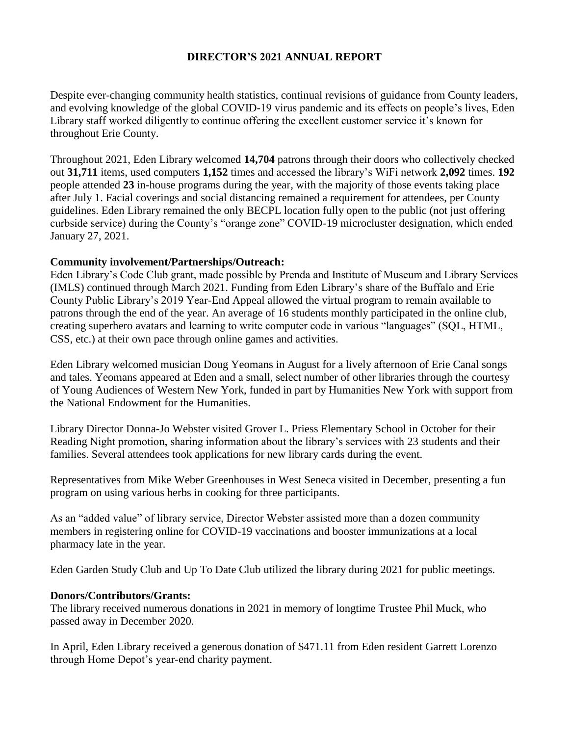# **DIRECTOR'S 2021 ANNUAL REPORT**

Despite ever-changing community health statistics, continual revisions of guidance from County leaders, and evolving knowledge of the global COVID-19 virus pandemic and its effects on people's lives, Eden Library staff worked diligently to continue offering the excellent customer service it's known for throughout Erie County.

Throughout 2021, Eden Library welcomed **14,704** patrons through their doors who collectively checked out **31,711** items, used computers **1,152** times and accessed the library's WiFi network **2,092** times. **192** people attended **23** in-house programs during the year, with the majority of those events taking place after July 1. Facial coverings and social distancing remained a requirement for attendees, per County guidelines. Eden Library remained the only BECPL location fully open to the public (not just offering curbside service) during the County's "orange zone" COVID-19 microcluster designation, which ended January 27, 2021.

### **Community involvement/Partnerships/Outreach:**

Eden Library's Code Club grant, made possible by Prenda and Institute of Museum and Library Services (IMLS) continued through March 2021. Funding from Eden Library's share of the Buffalo and Erie County Public Library's 2019 Year-End Appeal allowed the virtual program to remain available to patrons through the end of the year. An average of 16 students monthly participated in the online club, creating superhero avatars and learning to write computer code in various "languages" (SQL, HTML, CSS, etc.) at their own pace through online games and activities.

Eden Library welcomed musician Doug Yeomans in August for a lively afternoon of Erie Canal songs and tales. Yeomans appeared at Eden and a small, select number of other libraries through the courtesy of Young Audiences of Western New York, funded in part by Humanities New York with support from the National Endowment for the Humanities.

Library Director Donna-Jo Webster visited Grover L. Priess Elementary School in October for their Reading Night promotion, sharing information about the library's services with 23 students and their families. Several attendees took applications for new library cards during the event.

Representatives from Mike Weber Greenhouses in West Seneca visited in December, presenting a fun program on using various herbs in cooking for three participants.

As an "added value" of library service, Director Webster assisted more than a dozen community members in registering online for COVID-19 vaccinations and booster immunizations at a local pharmacy late in the year.

Eden Garden Study Club and Up To Date Club utilized the library during 2021 for public meetings.

# **Donors/Contributors/Grants:**

The library received numerous donations in 2021 in memory of longtime Trustee Phil Muck, who passed away in December 2020.

In April, Eden Library received a generous donation of \$471.11 from Eden resident Garrett Lorenzo through Home Depot's year-end charity payment.